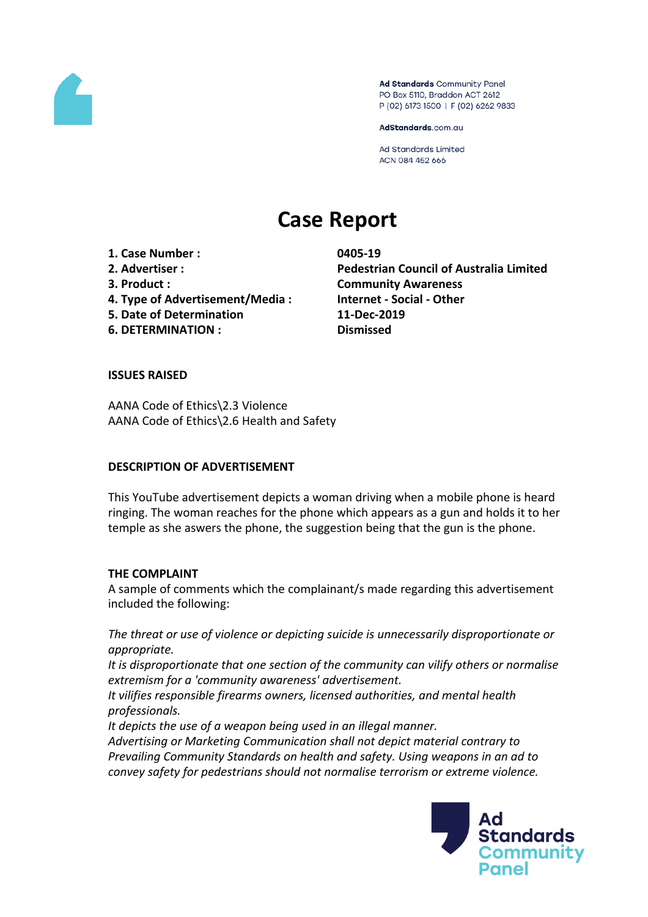

Ad Standards Community Panel PO Box 5110, Braddon ACT 2612 P (02) 6173 1500 | F (02) 6262 9833

AdStandards.com.au

Ad Standards Limited ACN 084 452 666

# **Case Report**

**1. Case Number : 0405-19 3. Product : Community Awareness 4. Type of Advertisement/Media : Internet - Social - Other**

- **5. Date of Determination 11-Dec-2019**
- **6. DETERMINATION : Dismissed**

**2. Advertiser : Pedestrian Council of Australia Limited**

### **ISSUES RAISED**

AANA Code of Ethics\2.3 Violence AANA Code of Ethics\2.6 Health and Safety

#### **DESCRIPTION OF ADVERTISEMENT**

This YouTube advertisement depicts a woman driving when a mobile phone is heard ringing. The woman reaches for the phone which appears as a gun and holds it to her temple as she aswers the phone, the suggestion being that the gun is the phone.

### **THE COMPLAINT**

A sample of comments which the complainant/s made regarding this advertisement included the following:

*The threat or use of violence or depicting suicide is unnecessarily disproportionate or appropriate.*

*It is disproportionate that one section of the community can vilify others or normalise extremism for a 'community awareness' advertisement.*

*It vilifies responsible firearms owners, licensed authorities, and mental health professionals.*

*It depicts the use of a weapon being used in an illegal manner.*

*Advertising or Marketing Communication shall not depict material contrary to Prevailing Community Standards on health and safety. Using weapons in an ad to convey safety for pedestrians should not normalise terrorism or extreme violence.*

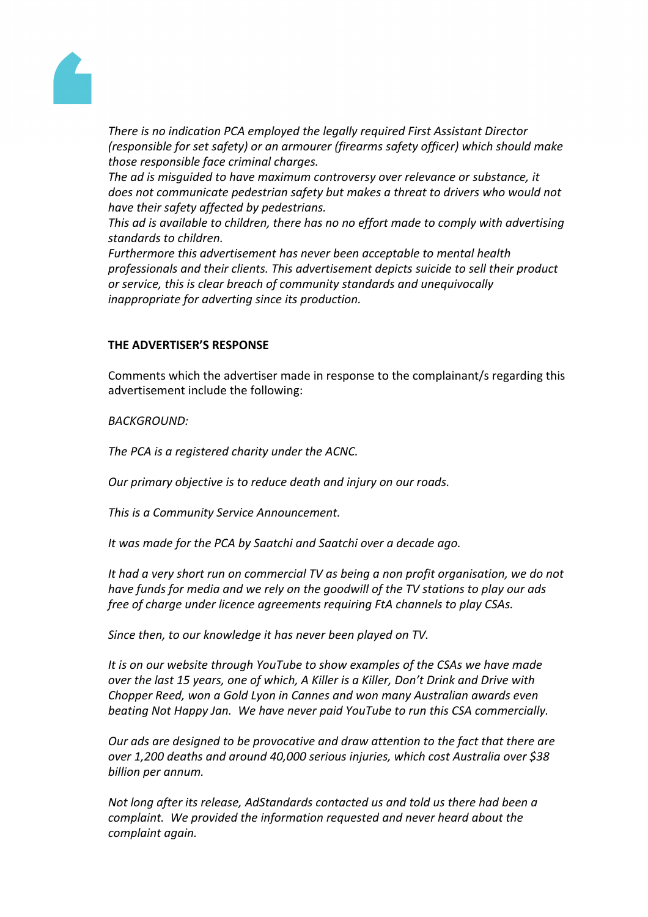

*There is no indication PCA employed the legally required First Assistant Director (responsible for set safety) or an armourer (firearms safety officer) which should make those responsible face criminal charges.*

*The ad is misguided to have maximum controversy over relevance or substance, it does not communicate pedestrian safety but makes a threat to drivers who would not have their safety affected by pedestrians.*

*This ad is available to children, there has no no effort made to comply with advertising standards to children.*

*Furthermore this advertisement has never been acceptable to mental health professionals and their clients. This advertisement depicts suicide to sell their product or service, this is clear breach of community standards and unequivocally inappropriate for adverting since its production.*

## **THE ADVERTISER'S RESPONSE**

Comments which the advertiser made in response to the complainant/s regarding this advertisement include the following:

*BACKGROUND:*

*The PCA is a registered charity under the ACNC.*

*Our primary objective is to reduce death and injury on our roads.*

*This is a Community Service Announcement.*

*It was made for the PCA by Saatchi and Saatchi over a decade ago.*

*It had a very short run on commercial TV as being a non profit organisation, we do not have funds for media and we rely on the goodwill of the TV stations to play our ads free of charge under licence agreements requiring FtA channels to play CSAs.*

*Since then, to our knowledge it has never been played on TV.*

*It is on our website through YouTube to show examples of the CSAs we have made over the last 15 years, one of which, A Killer is a Killer, Don't Drink and Drive with Chopper Reed, won a Gold Lyon in Cannes and won many Australian awards even beating Not Happy Jan. We have never paid YouTube to run this CSA commercially.*

*Our ads are designed to be provocative and draw attention to the fact that there are over 1,200 deaths and around 40,000 serious injuries, which cost Australia over \$38 billion per annum.*

*Not long after its release, AdStandards contacted us and told us there had been a complaint. We provided the information requested and never heard about the complaint again.*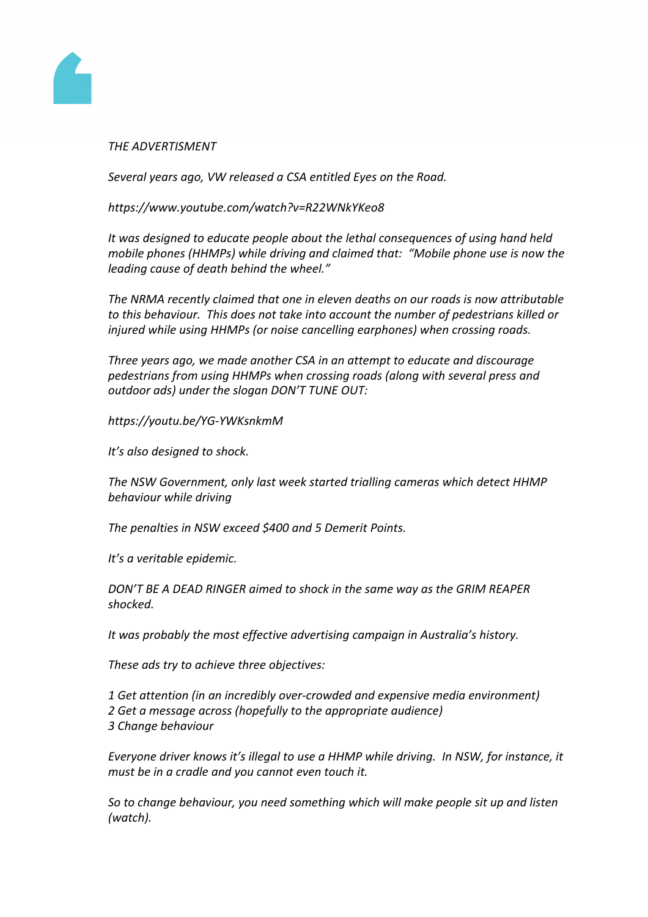

### *THE ADVERTISMENT*

*Several years ago, VW released a CSA entitled Eyes on the Road.*

*https://www.youtube.com/watch?v=R22WNkYKeo8*

*It was designed to educate people about the lethal consequences of using hand held mobile phones (HHMPs) while driving and claimed that: "Mobile phone use is now the leading cause of death behind the wheel."*

*The NRMA recently claimed that one in eleven deaths on our roads is now attributable to this behaviour. This does not take into account the number of pedestrians killed or injured while using HHMPs (or noise cancelling earphones) when crossing roads.*

*Three years ago, we made another CSA in an attempt to educate and discourage pedestrians from using HHMPs when crossing roads (along with several press and outdoor ads) under the slogan DON'T TUNE OUT:*

*https://youtu.be/YG-YWKsnkmM*

*It's also designed to shock.*

*The NSW Government, only last week started trialling cameras which detect HHMP behaviour while driving*

*The penalties in NSW exceed \$400 and 5 Demerit Points.*

*It's a veritable epidemic.*

*DON'T BE A DEAD RINGER aimed to shock in the same way as the GRIM REAPER shocked.*

*It was probably the most effective advertising campaign in Australia's history.*

*These ads try to achieve three objectives:*

*1 Get attention (in an incredibly over-crowded and expensive media environment) 2 Get a message across (hopefully to the appropriate audience) 3 Change behaviour*

*Everyone driver knows it's illegal to use a HHMP while driving. In NSW, for instance, it must be in a cradle and you cannot even touch it.*

*So to change behaviour, you need something which will make people sit up and listen (watch).*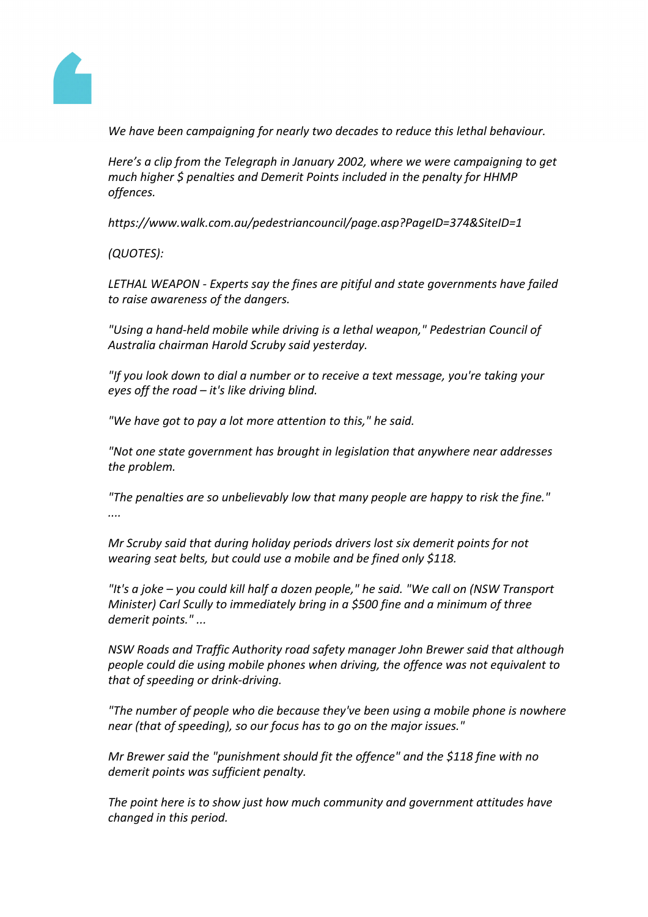

*We have been campaigning for nearly two decades to reduce this lethal behaviour.*

*Here's a clip from the Telegraph in January 2002, where we were campaigning to get much higher \$ penalties and Demerit Points included in the penalty for HHMP offences.*

*https://www.walk.com.au/pedestriancouncil/page.asp?PageID=374&SiteID=1*

*(QUOTES):*

*LETHAL WEAPON - Experts say the fines are pitiful and state governments have failed to raise awareness of the dangers.*

*"Using a hand-held mobile while driving is a lethal weapon," Pedestrian Council of Australia chairman Harold Scruby said yesterday.*

*"If you look down to dial a number or to receive a text message, you're taking your eyes off the road – it's like driving blind.*

*"We have got to pay a lot more attention to this," he said.*

*"Not one state government has brought in legislation that anywhere near addresses the problem.*

*"The penalties are so unbelievably low that many people are happy to risk the fine." ....*

*Mr Scruby said that during holiday periods drivers lost six demerit points for not wearing seat belts, but could use a mobile and be fined only \$118.*

*"It's a joke – you could kill half a dozen people," he said. "We call on (NSW Transport Minister) Carl Scully to immediately bring in a \$500 fine and a minimum of three demerit points." ...*

*NSW Roads and Traffic Authority road safety manager John Brewer said that although people could die using mobile phones when driving, the offence was not equivalent to that of speeding or drink-driving.*

*"The number of people who die because they've been using a mobile phone is nowhere near (that of speeding), so our focus has to go on the major issues."*

*Mr Brewer said the "punishment should fit the offence" and the \$118 fine with no demerit points was sufficient penalty.*

*The point here is to show just how much community and government attitudes have changed in this period.*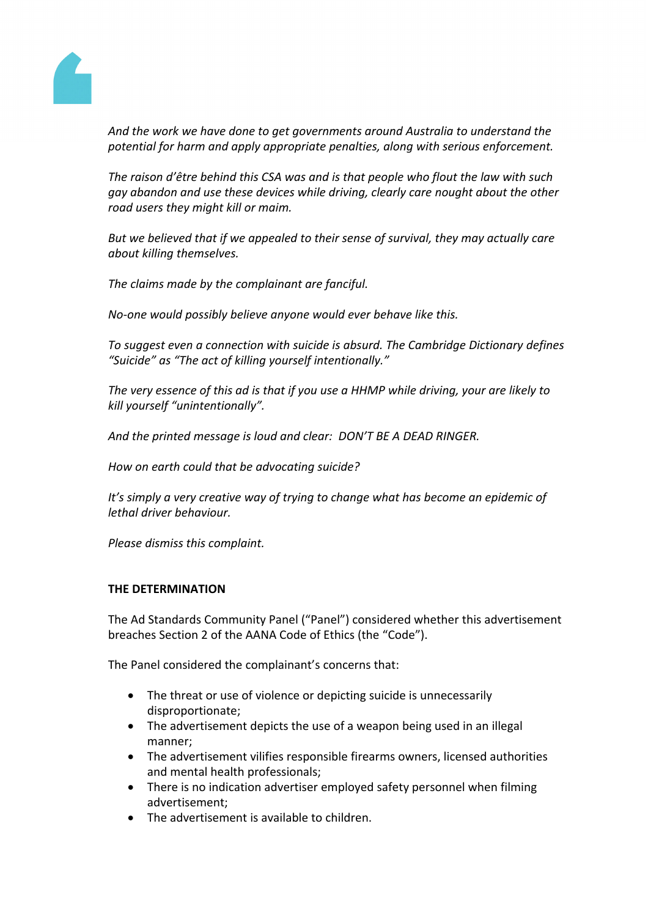

*And the work we have done to get governments around Australia to understand the potential for harm and apply appropriate penalties, along with serious enforcement.*

*The raison d'être behind this CSA was and is that people who flout the law with such gay abandon and use these devices while driving, clearly care nought about the other road users they might kill or maim.*

*But we believed that if we appealed to their sense of survival, they may actually care about killing themselves.*

*The claims made by the complainant are fanciful.*

*No-one would possibly believe anyone would ever behave like this.*

*To suggest even a connection with suicide is absurd. The Cambridge Dictionary defines "Suicide" as "The act of killing yourself intentionally."*

*The very essence of this ad is that if you use a HHMP while driving, your are likely to kill yourself "unintentionally".*

*And the printed message is loud and clear: DON'T BE A DEAD RINGER.*

*How on earth could that be advocating suicide?*

*It's simply a very creative way of trying to change what has become an epidemic of lethal driver behaviour.*

*Please dismiss this complaint.*

### **THE DETERMINATION**

The Ad Standards Community Panel ("Panel") considered whether this advertisement breaches Section 2 of the AANA Code of Ethics (the "Code").

The Panel considered the complainant's concerns that:

- The threat or use of violence or depicting suicide is unnecessarily disproportionate;
- The advertisement depicts the use of a weapon being used in an illegal manner;
- The advertisement vilifies responsible firearms owners, licensed authorities and mental health professionals;
- There is no indication advertiser employed safety personnel when filming advertisement;
- The advertisement is available to children.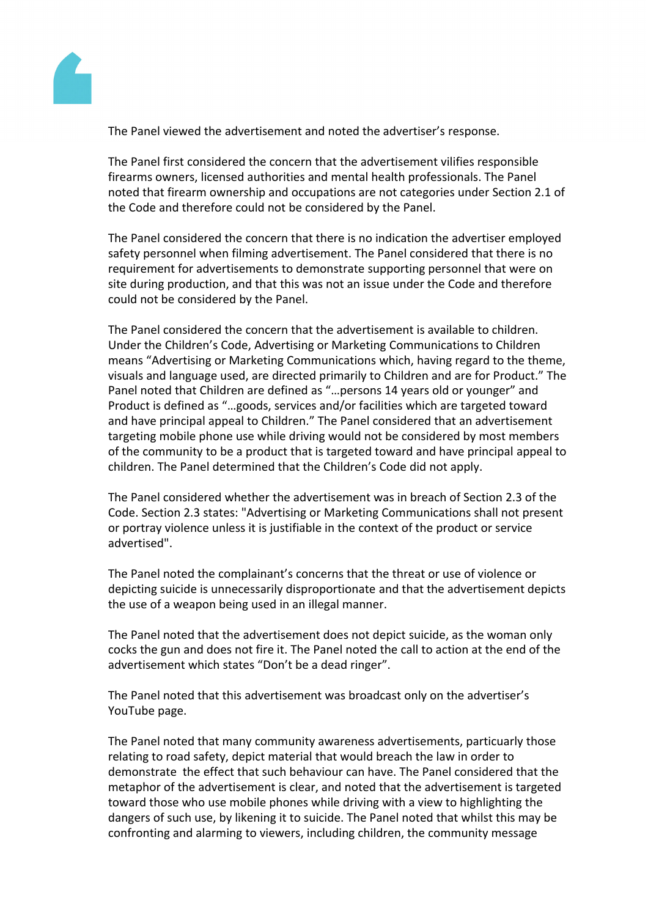

The Panel viewed the advertisement and noted the advertiser's response.

The Panel first considered the concern that the advertisement vilifies responsible firearms owners, licensed authorities and mental health professionals. The Panel noted that firearm ownership and occupations are not categories under Section 2.1 of the Code and therefore could not be considered by the Panel.

The Panel considered the concern that there is no indication the advertiser employed safety personnel when filming advertisement. The Panel considered that there is no requirement for advertisements to demonstrate supporting personnel that were on site during production, and that this was not an issue under the Code and therefore could not be considered by the Panel.

The Panel considered the concern that the advertisement is available to children. Under the Children's Code, Advertising or Marketing Communications to Children means "Advertising or Marketing Communications which, having regard to the theme, visuals and language used, are directed primarily to Children and are for Product." The Panel noted that Children are defined as "…persons 14 years old or younger" and Product is defined as "…goods, services and/or facilities which are targeted toward and have principal appeal to Children." The Panel considered that an advertisement targeting mobile phone use while driving would not be considered by most members of the community to be a product that is targeted toward and have principal appeal to children. The Panel determined that the Children's Code did not apply.

The Panel considered whether the advertisement was in breach of Section 2.3 of the Code. Section 2.3 states: "Advertising or Marketing Communications shall not present or portray violence unless it is justifiable in the context of the product or service advertised".

The Panel noted the complainant's concerns that the threat or use of violence or depicting suicide is unnecessarily disproportionate and that the advertisement depicts the use of a weapon being used in an illegal manner.

The Panel noted that the advertisement does not depict suicide, as the woman only cocks the gun and does not fire it. The Panel noted the call to action at the end of the advertisement which states "Don't be a dead ringer".

The Panel noted that this advertisement was broadcast only on the advertiser's YouTube page.

The Panel noted that many community awareness advertisements, particuarly those relating to road safety, depict material that would breach the law in order to demonstrate the effect that such behaviour can have. The Panel considered that the metaphor of the advertisement is clear, and noted that the advertisement is targeted toward those who use mobile phones while driving with a view to highlighting the dangers of such use, by likening it to suicide. The Panel noted that whilst this may be confronting and alarming to viewers, including children, the community message